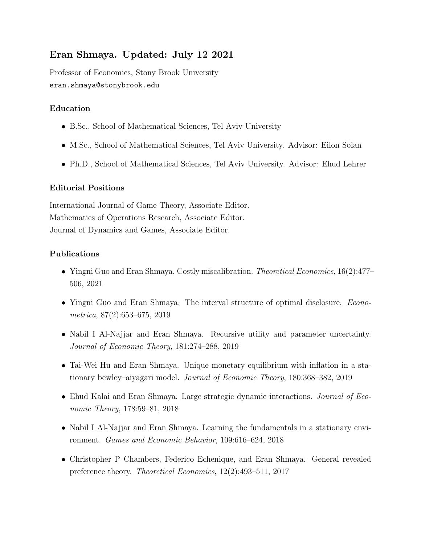## Eran Shmaya. Updated: July 12 2021

Professor of Economics, Stony Brook University eran.shmaya@stonybrook.edu

## Education

- B.Sc., School of Mathematical Sciences, Tel Aviv University
- M.Sc., School of Mathematical Sciences, Tel Aviv University. Advisor: Eilon Solan
- Ph.D., School of Mathematical Sciences, Tel Aviv University. Advisor: Ehud Lehrer

## Editorial Positions

International Journal of Game Theory, Associate Editor. Mathematics of Operations Research, Associate Editor. Journal of Dynamics and Games, Associate Editor.

## Publications

- Yingni Guo and Eran Shmaya. Costly miscalibration. *Theoretical Economics*, 16(2):477– 506, 2021
- Yingni Guo and Eran Shmaya. The interval structure of optimal disclosure. *Econo*metrica, 87(2):653–675, 2019
- Nabil I Al-Najjar and Eran Shmaya. Recursive utility and parameter uncertainty. Journal of Economic Theory, 181:274–288, 2019
- Tai-Wei Hu and Eran Shmaya. Unique monetary equilibrium with inflation in a stationary bewley–aiyagari model. Journal of Economic Theory, 180:368–382, 2019
- Ehud Kalai and Eran Shmaya. Large strategic dynamic interactions. *Journal of Eco*nomic Theory, 178:59–81, 2018
- Nabil I Al-Najjar and Eran Shmaya. Learning the fundamentals in a stationary environment. Games and Economic Behavior, 109:616–624, 2018
- Christopher P Chambers, Federico Echenique, and Eran Shmaya. General revealed preference theory. Theoretical Economics, 12(2):493–511, 2017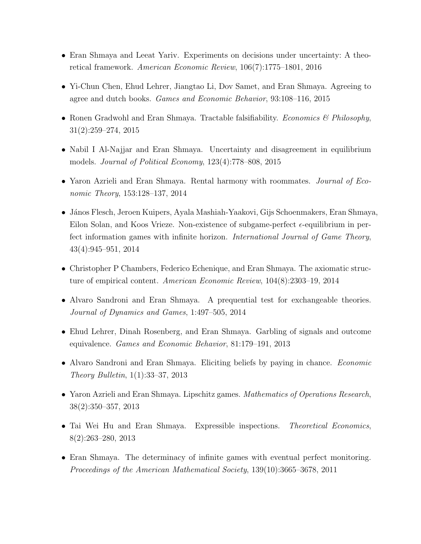- Eran Shmaya and Leeat Yariv. Experiments on decisions under uncertainty: A theoretical framework. American Economic Review, 106(7):1775–1801, 2016
- Yi-Chun Chen, Ehud Lehrer, Jiangtao Li, Dov Samet, and Eran Shmaya. Agreeing to agree and dutch books. Games and Economic Behavior, 93:108–116, 2015
- Ronen Gradwohl and Eran Shmaya. Tractable falsifiability. *Economics & Philosophy*, 31(2):259–274, 2015
- Nabil I Al-Najjar and Eran Shmaya. Uncertainty and disagreement in equilibrium models. Journal of Political Economy, 123(4):778–808, 2015
- Yaron Azrieli and Eran Shmaya. Rental harmony with roommates. Journal of Economic Theory, 153:128–137, 2014
- J´anos Flesch, Jeroen Kuipers, Ayala Mashiah-Yaakovi, Gijs Schoenmakers, Eran Shmaya, Eilon Solan, and Koos Vrieze. Non-existence of subgame-perfect  $\epsilon$ -equilibrium in perfect information games with infinite horizon. International Journal of Game Theory, 43(4):945–951, 2014
- Christopher P Chambers, Federico Echenique, and Eran Shmaya. The axiomatic structure of empirical content. American Economic Review, 104(8):2303–19, 2014
- Alvaro Sandroni and Eran Shmaya. A prequential test for exchangeable theories. Journal of Dynamics and Games, 1:497–505, 2014
- Ehud Lehrer, Dinah Rosenberg, and Eran Shmaya. Garbling of signals and outcome equivalence. Games and Economic Behavior, 81:179–191, 2013
- Alvaro Sandroni and Eran Shmaya. Eliciting beliefs by paying in chance. *Economic* Theory Bulletin, 1(1):33–37, 2013
- Yaron Azrieli and Eran Shmaya. Lipschitz games. *Mathematics of Operations Research*, 38(2):350–357, 2013
- Tai Wei Hu and Eran Shmaya. Expressible inspections. Theoretical Economics, 8(2):263–280, 2013
- Eran Shmaya. The determinacy of infinite games with eventual perfect monitoring. Proceedings of the American Mathematical Society, 139(10):3665–3678, 2011